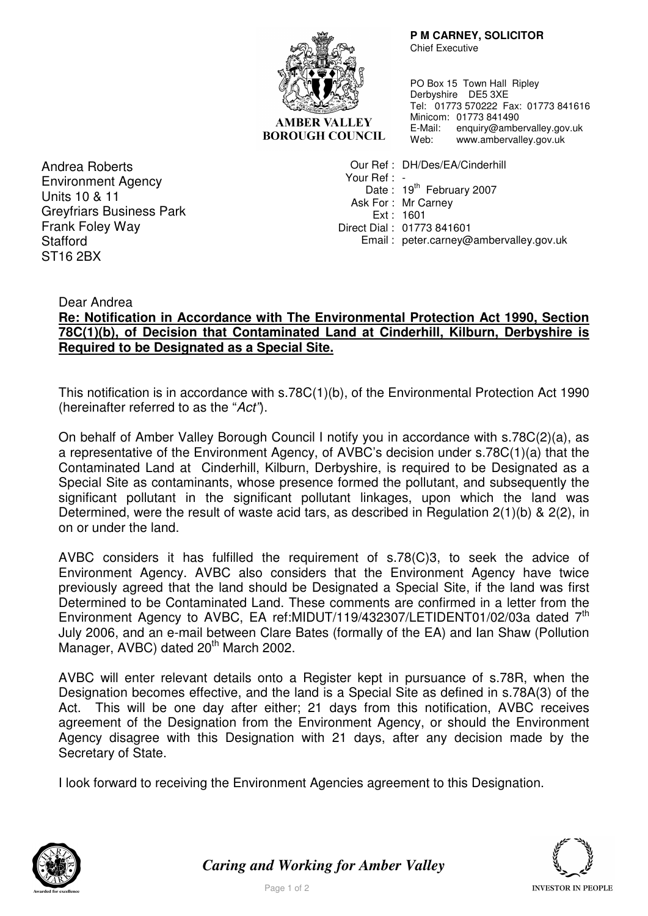

**AMBER VALLEY BOROUGH COUNCIL**   **P M CARNEY, SOLICITOR** 

Chief Executive

PO Box 15 Town Hall Ripley Derbyshire DE5 3XE Tel: 01773 570222 Fax: 01773 841616 Minicom: 01773 841490 E-Mail: enquiry@ambervalley.gov.uk Web: www.ambervalley.gov.uk

Andrea Roberts Environment Agency Units 10 & 11 Greyfriars Business Park Frank Foley Way Stafford ST16 2BX

 Our Ref : DH/Des/EA/Cinderhill Your Ref : -Date: 19<sup>th</sup> February 2007 Ask For : Mr Carney Ext : 1601 Direct Dial : 01773 841601 Email : peter.carney@ambervalley.gov.uk

Dear Andrea

## **Re: Notification in Accordance with The Environmental Protection Act 1990, Section 78C(1)(b), of Decision that Contaminated Land at Cinderhill, Kilburn, Derbyshire is Required to be Designated as a Special Site.**

This notification is in accordance with s.78C(1)(b), of the Environmental Protection Act 1990 (hereinafter referred to as the "Act").

On behalf of Amber Valley Borough Council I notify you in accordance with s.78C(2)(a), as a representative of the Environment Agency, of AVBC's decision under s.78C(1)(a) that the Contaminated Land at Cinderhill, Kilburn, Derbyshire, is required to be Designated as a Special Site as contaminants, whose presence formed the pollutant, and subsequently the significant pollutant in the significant pollutant linkages, upon which the land was Determined, were the result of waste acid tars, as described in Regulation 2(1)(b) & 2(2), in on or under the land.

AVBC considers it has fulfilled the requirement of s.78(C)3, to seek the advice of Environment Agency. AVBC also considers that the Environment Agency have twice previously agreed that the land should be Designated a Special Site, if the land was first Determined to be Contaminated Land. These comments are confirmed in a letter from the Environment Agency to AVBC, EA ref:MIDUT/119/432307/LETIDENT01/02/03a dated 7<sup>th</sup> July 2006, and an e-mail between Clare Bates (formally of the EA) and Ian Shaw (Pollution Manager, AVBC) dated 20<sup>th</sup> March 2002.

AVBC will enter relevant details onto a Register kept in pursuance of s.78R, when the Designation becomes effective, and the land is a Special Site as defined in s.78A(3) of the Act. This will be one day after either; 21 days from this notification, AVBC receives agreement of the Designation from the Environment Agency, or should the Environment Agency disagree with this Designation with 21 days, after any decision made by the Secretary of State.

I look forward to receiving the Environment Agencies agreement to this Designation.



*Caring and Working for Amber Valley*